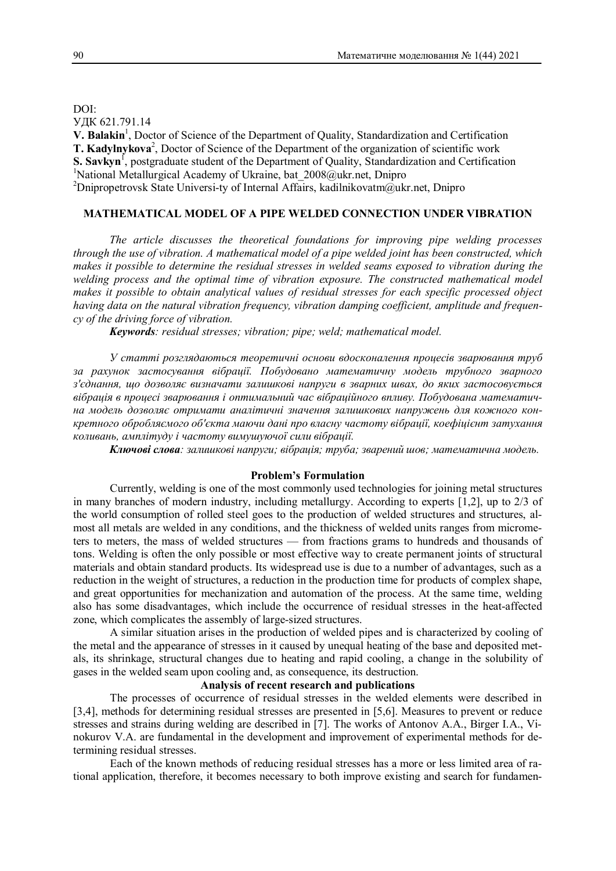DOI: УДК 621.791.14 V. Balakin<sup>1</sup>, Doctor of Science of the Department of Quality, Standardization and Certification T. Kadylnykova<sup>2</sup>, Doctor of Science of the Department of the organization of scientific work **S. Savkyn**<sup>1</sup>, postgraduate student of the Department of Quality, Standardization and Certification <sup>1</sup>National Metallurgical Academy of Ukraine, bat  $2008$ @ukr.net, Dnipro <sup>2</sup>Dnipropetrovsk State Universi-ty of Internal Affairs, kadilnikovatm $\hat{Q}$ ukr.net, Dnipro

## **MATHEMATICAL MODEL OF A PIPE WELDED CONNECTION UNDER VIBRATION**

*The article discusses the theoretical foundations for improving pipe welding processes through the use of vibration. A mathematical model of a pipe welded joint has been constructed, which makes it possible to determine the residual stresses in welded seams exposed to vibration during the welding process and the optimal time of vibration exposure. The constructed mathematical model makes it possible to obtain analytical values of residual stresses for each specific processed object having data on the natural vibration frequency, vibration damping coefficient, amplitude and frequency of the driving force of vibration.*

*Keywords: residual stresses; vibration; pipe; weld; mathematical model.*

*У статті розглядаються теоретичні основи вдосконалення процесів зварювання труб за рахунок застосування вібрації. Побудовано математичну модель трубного зварного з'єднання, що дозволяє визначати залишкові напруги в зварних швах, до яких застосовується вібрація в процесі зварювання і оптимальний час вібраційного впливу. Побудована математична модель дозволяє отримати аналітичні значення залишкових напружень для кожного конкретного обробляємого об'єкта маючи дані про власну частоту вібрації, коефіцієнт затухання коливань, амплітуду і частоту вимушуючої сили вібрації.*

*Ключові слова: залишкові напруги; вібрація; труба; зварений шов; математична модель.*

### **Problem's Formulation**

Currently, welding is one of the most commonly used technologies for joining metal structures in many branches of modern industry, including metallurgy. According to experts [1,2], up to 2/3 of the world consumption of rolled steel goes to the production of welded structures and structures, almost all metals are welded in any conditions, and the thickness of welded units ranges from micrometers to meters, the mass of welded structures — from fractions grams to hundreds and thousands of tons. Welding is often the only possible or most effective way to create permanent joints of structural materials and obtain standard products. Its widespread use is due to a number of advantages, such as a reduction in the weight of structures, a reduction in the production time for products of complex shape, and great opportunities for mechanization and automation of the process. At the same time, welding also has some disadvantages, which include the occurrence of residual stresses in the heat-affected zone, which complicates the assembly of large-sized structures.

A similar situation arises in the production of welded pipes and is characterized by cooling of the metal and the appearance of stresses in it caused by unequal heating of the base and deposited metals, its shrinkage, structural changes due to heating and rapid cooling, a change in the solubility of gases in the welded seam upon cooling and, as consequence, its destruction.

# **Analysis of recent research and publications**

The processes of occurrence of residual stresses in the welded elements were described in [3,4], methods for determining residual stresses are presented in [5,6]. Measures to prevent or reduce stresses and strains during welding are described in [7]. The works of Antonov A.A., Birger I.A., Vinokurov V.A. are fundamental in the development and improvement of experimental methods for determining residual stresses.

Each of the known methods of reducing residual stresses has a more or less limited area of rational application, therefore, it becomes necessary to both improve existing and search for fundamen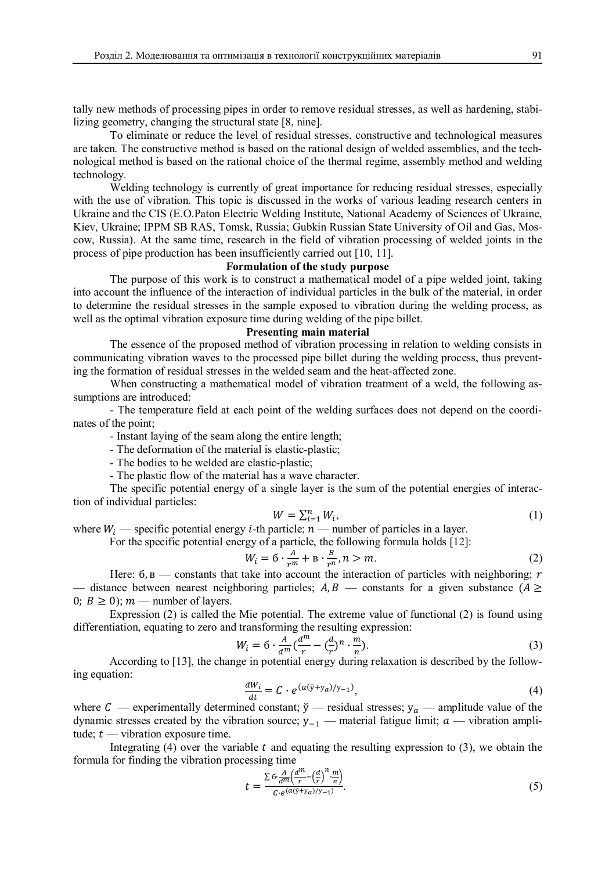tally new methods of processing pipes in order to remove residual stresses, as well as hardening, stabilizing geometry, changing the structural state [8, nine].

To eliminate or reduce the level of residual stresses, constructive and technological measures are taken. The constructive method is based on the rational design of welded assemblies, and the technological method is based on the rational choice of the thermal regime, assembly method and welding technology.

Welding technology is currently of great importance for reducing residual stresses, especially with the use of vibration. This topic is discussed in the works of various leading research centers in Ukraine and the CIS (E.O.Paton Electric Welding Institute, National Academy of Sciences of Ukraine, Kiev, Ukraine; IPPM SB RAS, Tomsk, Russia; Gubkin Russian State University of Oil and Gas, Moscow, Russia). At the same time, research in the field of vibration processing of welded joints in the process of pipe production has been insufficiently carried out [10, 11].

# **Formulation of the study purpose**

The purpose of this work is to construct a mathematical model of a pipe welded joint, taking into account the influence of the interaction of individual particles in the bulk of the material, in order to determine the residual stresses in the sample exposed to vibration during the welding process, as well as the optimal vibration exposure time during welding of the pipe billet.

#### **Presenting main material**

The essence of the proposed method of vibration processing in relation to welding consists in communicating vibration waves to the processed pipe billet during the welding process, thus preventing the formation of residual stresses in the welded seam and the heat-affected zone.

When constructing a mathematical model of vibration treatment of a weld, the following assumptions are introduced:

- The temperature field at each point of the welding surfaces does not depend on the coordinates of the point;

- Instant laying of the seam along the entire length;

- The deformation of the material is elastic-plastic;

- The bodies to be welded are elastic-plastic;

- The plastic flow of the material has a wave character.

The specific potential energy of a single layer is the sum of the potential energies of interaction of individual particles:

$$
W = \sum_{i=1}^{n} W_i,\tag{1}
$$

where  $W_i$  — specific potential energy *i*-th particle;  $n$  — number of particles in a layer.

For the specific potential energy of a particle, the following formula holds [12]:

$$
W_i = 6 \cdot \frac{A}{r^m} + B \cdot \frac{B}{r^n}, n > m. \tag{2}
$$

 $W_i = 6 \cdot \frac{A}{r^m} + B \cdot \frac{B}{r^n}, n > m.$  (2)<br>Here: 6, в — constants that take into account the interaction of particles with neighboring; *r* — distance between nearest neighboring particles;  $A, B$  — constants for a given substance  $(A \geq$ 0;  $B \ge 0$ ;  $m$  — number of layers.

Expression (2) is called the Mie potential. The extreme value of functional (2) is found using differentiation, equating to zero and transforming the resulting expression:

$$
W_i = 6 \cdot \frac{A}{a^m} \left(\frac{a^m}{r} - \left(\frac{a}{r}\right)^n \cdot \frac{m}{n}\right).
$$
  
According to [13], the change in potential energy during relaxation is described by the follow-

ing equation:

$$
\frac{dW_i}{dt} = C \cdot e^{(a(\tilde{y} + y_a)/y_{-1})},\tag{4}
$$

where C — experimentally determined constant;  $\check{y}$  — residual stresses;  $y_a$  — amplitude value of the dynamic stresses created by the vibration source;  $y_{-1}$  — material fatigue limit;  $a$  — vibration amplitude;  $t$  — vibration exposure time.

Integrating (4) over the variable  $t$  and equating the resulting expression to (3), we obtain the formula for finding the vibration processing time

$$
t = \frac{\sum 6 \cdot \frac{A}{d^m} \left(\frac{d^m}{r} - \left(\frac{d}{r}\right)^n \frac{m}{n}\right)}{C \cdot e^{(a(\bar{y} + y_a)/y_{-1})}}.\tag{5}
$$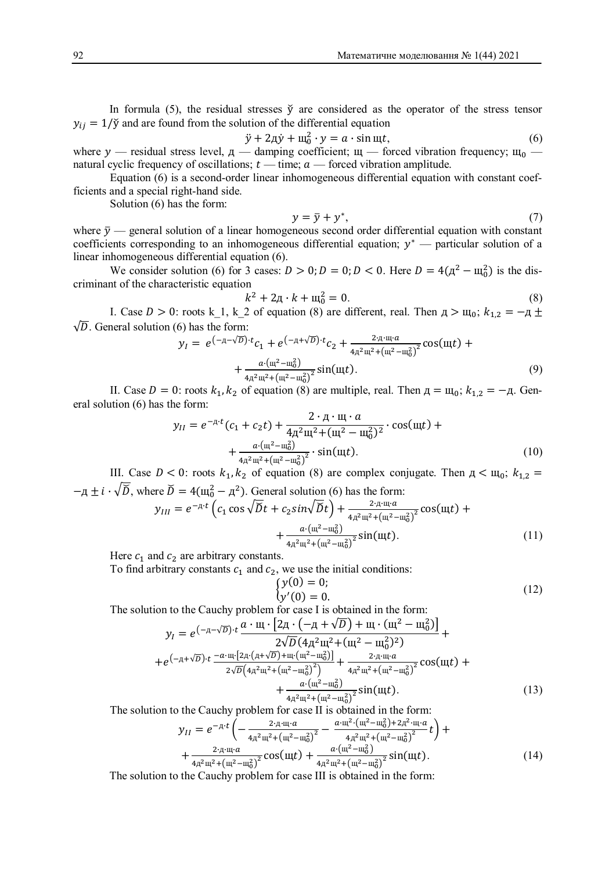In formula (5), the residual stresses  $\check{y}$  are considered as the operator of the stress tensor  $y_{ij} = 1/\tilde{y}$  and are found from the solution of the differential equation

$$
\ddot{y} + 2\mu \dot{y} + \mu_0^2 \cdot y = a \cdot \sin \mu t,\tag{6}
$$

where  $y$  — residual stress level,  $\mu$  — damping coefficient;  $\mu$  — forced vibration frequency;  $\mu_0$  natural cyclic frequency of oscillations;  $t$  — time;  $a$  — forced vibration amplitude.

Equation (6) is a second-order linear inhomogeneous differential equation with constant coefficients and a special right-hand side.

Solution (6) has the form:

$$
y = \bar{y} + y^*,\tag{7}
$$

where  $\bar{y}$  — general solution of a linear homogeneous second order differential equation with constant coefficients corresponding to an inhomogeneous differential equation;  $y^*$  — particular solution of a linear inhomogeneous differential equation (6).

We consider solution (6) for 3 cases:  $D > 0$ ;  $D = 0$ ;  $D < 0$ . Here  $D = 4(\mu^2 - \mu_0^2)$  is the discriminant of the characteristic equation

$$
k^2 + 2A \cdot k + \mathbf{u}_0^2 = 0. \tag{8}
$$

I. Case  $D > 0$ : roots k\_1, k\_2 of equation (8) are different, real. Then  $\mu > \mu_0$ ;  $k_{1,2} = -\mu \pm \frac{1}{2}$  $\sqrt{D}$ . General solution (6) has the form:

$$
y_{I} = e^{(-\pi - \sqrt{D}) \cdot t} c_{1} + e^{(-\pi + \sqrt{D}) \cdot t} c_{2} + \frac{2 \cdot \pi \cdot \pi \cdot a}{4\pi^{2} \pi^{2} + (\pi^{2} - \pi_{0}^{2})^{2}} \cos(\pi t) + \frac{a \cdot (\pi^{2} - \pi_{0}^{2})}{4\pi^{2} \pi^{2} + (\pi^{2} - \pi_{0}^{2})^{2}} \sin(\pi t).
$$
\n(9)

II. Case  $D = 0$ : roots  $k_1, k_2$  of equation (8) are multiple, real. Then  $\mu = \mu_0$ ;  $k_{1,2} = -\mu$ . General solution (6) has the form:

$$
y_{II} = e^{-\mu \cdot t} (c_1 + c_2 t) + \frac{2 \cdot \mu \cdot \mu \cdot a}{4\mu^2 \mu^2 + (\mu^2 - \mu_0^2)^2} \cdot \cos(\mu t) + \frac{a \cdot (\mu^2 - \mu_0^2)}{4\mu^2 \mu^2 + (\mu^2 - \mu_0^2)^2} \cdot \sin(\mu t).
$$
 (10)

III. Case  $D < 0$ : roots  $k_1, k_2$  of equation (8) are complex conjugate. Then  $\mu < \mu_0$ ;  $k_{1,2} =$  $-\mu \pm i \cdot \sqrt{D}$ , where  $\bar{D} = 4(\mu_0^2 - \mu^2)$ . General solution (6) has the form:

$$
y_{III} = e^{-\pi \cdot t} \left( c_1 \cos \sqrt{\breve{D}} t + c_2 \sin \sqrt{\breve{D}} t \right) + \frac{2 \cdot \pi \cdot \mathfrak{m} \cdot a}{4\pi^2 \mathfrak{m}^2 + (\mathfrak{m}^2 - \mathfrak{m}_0^2)^2} \cos(\mathfrak{m}t) + \frac{a \cdot (\mathfrak{m}^2 - \mathfrak{m}_0^2)}{4\pi^2 \mathfrak{m}^2 + (\mathfrak{m}^2 - \mathfrak{m}_0^2)^2} \sin(\mathfrak{m}t). \tag{11}
$$

Here  $c_1$  and  $c_2$  are arbitrary constants.

To find arbitrary constants  $c_1$  and  $c_2$ , we use the initial conditions:

$$
\begin{cases}\ny(0) = 0; \\
y'(0) = 0.\n\end{cases}
$$
\n(12)

The solution to the Cauchy problem for case I is obtained in the form:

$$
y_{I} = e^{(-\pi - \sqrt{D}) \cdot t} \frac{a \cdot \mathfrak{m} \cdot [2\pi \cdot (-\pi + \sqrt{D}) + \mathfrak{m} \cdot (\mathfrak{m}^{2} - \mathfrak{m}_{0}^{2})]}{2\sqrt{D}(4\pi^{2} \mathfrak{m}^{2} + (\mathfrak{m}^{2} - \mathfrak{m}_{0}^{2})^{2})} +
$$
  
+
$$
e^{(-\pi + \sqrt{D}) \cdot t} \frac{-a \cdot \mathfrak{m} \cdot [2\pi \cdot (\pi + \sqrt{D}) + \mathfrak{m} \cdot (\mathfrak{m}^{2} - \mathfrak{m}_{0}^{2})]}{2\sqrt{D}(4\pi^{2} \mathfrak{m}^{2} + (\mathfrak{m}^{2} - \mathfrak{m}_{0}^{2})^{2}}) + \frac{2 \cdot \pi \cdot \mathfrak{m} \cdot a}{4\pi^{2} \mathfrak{m}^{2} + (\mathfrak{m}^{2} - \mathfrak{m}_{0}^{2})^{2}} \cos(\mathfrak{m}t) + \frac{a \cdot (\mathfrak{m}^{2} - \mathfrak{m}_{0}^{2})}{4\pi^{2} \mathfrak{m}^{2} + (\mathfrak{m}^{2} - \mathfrak{m}_{0}^{2})^{2}} \sin(\mathfrak{m}t).
$$
 (13)

The solution to the Cauchy problem for case II is obtained in the form:

$$
y_{II} = e^{-\mu \cdot t} \left( -\frac{2 \cdot \pi \cdot \mu \cdot a}{4\pi^2 \mu^2 + (\mu^2 - \mu_0^2)^2} - \frac{\alpha \cdot \mu^2 \cdot (\mu^2 - \mu_0^2) + 2\pi^2 \cdot \mu \cdot a}{4\pi^2 \mu^2 + (\mu^2 - \mu_0^2)^2} t \right) +
$$
  
+ 
$$
\frac{2 \cdot \pi \cdot \mu \cdot a}{4\pi^2 \mu^2 + (\mu^2 - \mu_0^2)^2} \cos(\mu t) + \frac{\alpha \cdot (\mu^2 - \mu_0^2)}{4\pi^2 \mu^2 + (\mu^2 - \mu_0^2)^2} \sin(\mu t).
$$
(14)

The solution to the Cauchy problem for case III is obtained in the form: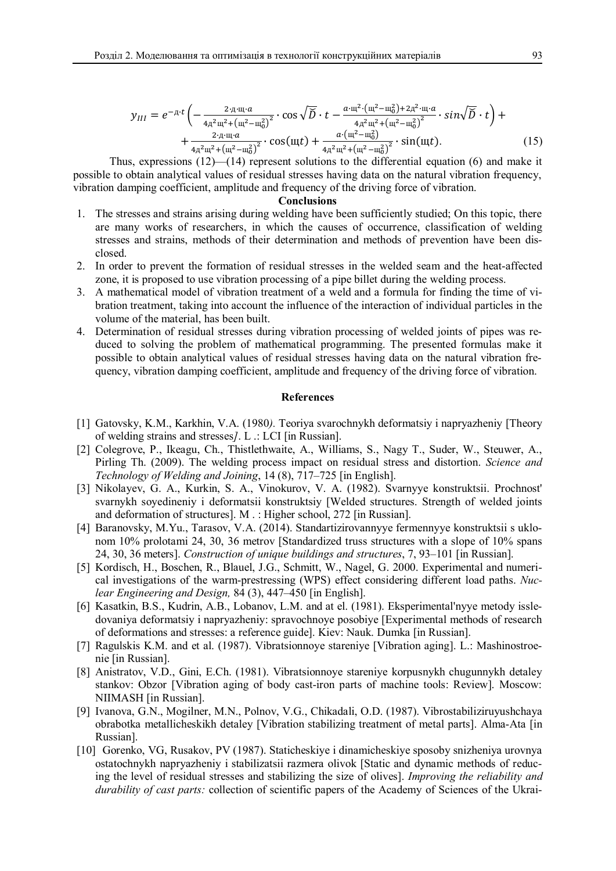$$
y_{III} = e^{-\pi \cdot t} \left( -\frac{2 \cdot \pi \cdot \pi \cdot a}{4\pi^2 \pi^2 + (\pi^2 - \pi_0^2)^2} \cdot \cos \sqrt{\widetilde{D}} \cdot t - \frac{a \cdot \pi^2 \cdot (\pi^2 - \pi_0^2) + 2\pi^2 \cdot \pi \cdot a}{4\pi^2 \pi^2 + (\pi^2 - \pi_0^2)^2} \cdot \sin \sqrt{\widetilde{D}} \cdot t \right) + \\ + \frac{2 \cdot \pi \cdot \pi \cdot a}{4\pi^2 \pi^2 + (\pi^2 - \pi_0^2)^2} \cdot \cos(\pi t) + \frac{a \cdot (\pi^2 - \pi_0^2)}{4\pi^2 \pi^2 + (\pi^2 - \pi_0^2)^2} \cdot \sin(\pi t). \tag{15}
$$

Thus, expressions (12)—(14) represent solutions to the differential equation (6) and make it possible to obtain analytical values of residual stresses having data on the natural vibration frequency, vibration damping coefficient, amplitude and frequency of the driving force of vibration.

### **Conclusions**

- 1. The stresses and strains arising during welding have been sufficiently studied; On this topic, there are many works of researchers, in which the causes of occurrence, classification of welding stresses and strains, methods of their determination and methods of prevention have been disclosed.
- 2. In order to prevent the formation of residual stresses in the welded seam and the heat-affected zone, it is proposed to use vibration processing of a pipe billet during the welding process.
- 3. A mathematical model of vibration treatment of a weld and a formula for finding the time of vibration treatment, taking into account the influence of the interaction of individual particles in the volume of the material, has been built.
- 4. Determination of residual stresses during vibration processing of welded joints of pipes was reduced to solving the problem of mathematical programming. The presented formulas make it possible to obtain analytical values of residual stresses having data on the natural vibration frequency, vibration damping coefficient, amplitude and frequency of the driving force of vibration.

#### **References**

- [1] Gatovsky, K.M., Karkhin, V.A. (1980*).* Teoriya svarochnykh deformatsiy i napryazheniy [Theory of welding strains and stresses*]*. L .: LCI [in Russian].
- [2] Colegrove, P., Ikeagu, Ch., Thistlethwaite, A., Williams, S., Nagy T., Suder, W., Steuwer, A., Pirling Th. (2009). The welding process impact on residual stress and distortion. *Science and Technology of Welding and Joining*, 14 (8), 717–725 [in English].
- [3] Nikolayev, G. A., Kurkin, S. A., Vinokurov, V. A. (1982). Svarnyye konstruktsii. Prochnost' svarnykh soyedineniy i deformatsii konstruktsiy [Welded structures. Strength of welded joints and deformation of structures]. M . : Higher school, 272 [in Russian].
- [4] Baranovsky, M.Yu., Tarasov, V.A. (2014). Standartizirovannyye fermennyye konstruktsii s uklonom 10% prolotami 24, 30, 36 metrov [Standardized truss structures with a slope of 10% spans 24, 30, 36 meters]. *Construction of unique buildings and structures*, 7, 93–101 [in Russian].
- [5] Kordisch, H., Boschen, R., Blauel, J.G., Schmitt, W., Nagel, G. 2000. Experimental and numerical investigations of the warm-prestressing (WPS) effect considering different load paths. *Nuclear Engineering and Design,* 84 (3), 447–450 [in English].
- [6] Kasatkin, B.S., Kudrin, A.B., Lobanov, L.M. and at el. (1981). Eksperimental'nyye metody issledovaniya deformatsiy i napryazheniy: spravochnoye posobiye [Experimental methods of research of deformations and stresses: a reference guide]. Kiev: Nauk. Dumka [in Russian].
- [7] Ragulskis K.M. and et al. (1987). Vibratsionnoye stareniye [Vibration aging]. L.: Mashinostroenie [in Russian].
- [8] Anistratov, V.D., Gini, E.Ch. (1981). Vibratsionnoye stareniye korpusnykh chugunnykh detaley stankov: Obzor [Vibration aging of body cast-iron parts of machine tools: Review]. Moscow: NIIMASH [in Russian].
- [9] Ivanova, G.N., Mogilner, M.N., Polnov, V.G., Chikadali, O.D. (1987). Vibrostabiliziruyushchaya obrabotka metallicheskikh detaley [Vibration stabilizing treatment of metal parts]. Alma-Ata [in Russian].
- [10] Gorenko, VG, Rusakov, PV (1987). Staticheskiye i dinamicheskiye sposoby snizheniya urovnya ostatochnykh napryazheniy i stabilizatsii razmera olivok [Static and dynamic methods of reducing the level of residual stresses and stabilizing the size of olives]. *Improving the reliability and durability of cast parts:* collection of scientific papers of the Academy of Sciences of the Ukrai-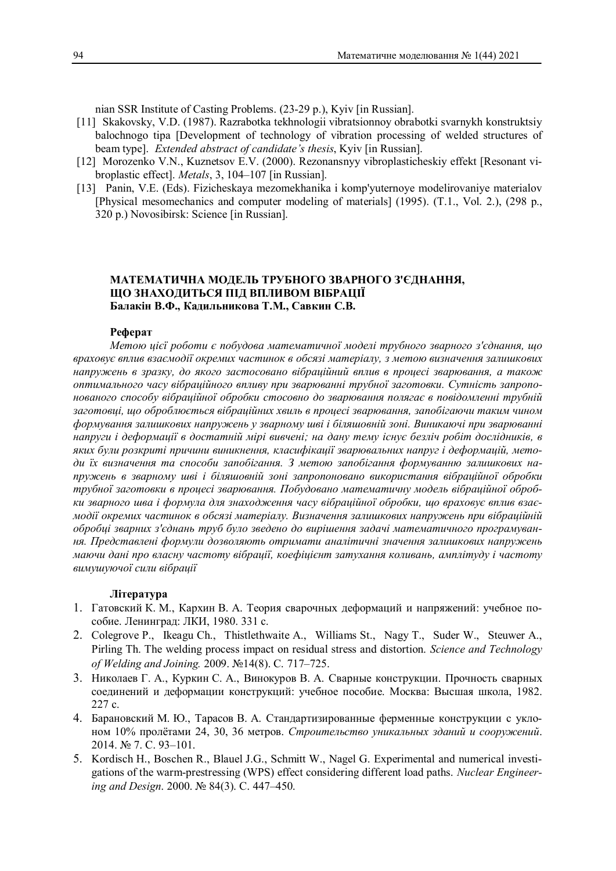nian SSR Institute of Casting Problems. (23-29 p.), Kyiv [in Russian].

- [11] Skakovsky, V.D. (1987). Razrabotka tekhnologii vibratsionnoy obrabotki svarnykh konstruktsiy balochnogo tipa [Development of technology of vibration processing of welded structures of beam type]. *Extended abstract of candidate's thesis*, Kyiv [in Russian].
- [12] Morozenko V.N., Kuznetsov E.V. (2000). Rezonansnyy vibroplasticheskiy effekt [Resonant vibroplastic effect]. *Metals*, 3, 104–107 [in Russian].
- [13] Panin, V.E. (Eds). Fizicheskaya mezomekhanika i komp'yuternoye modelirovaniye materialov [Physical mesomechanics and computer modeling of materials] (1995). (T.1., Vol. 2.), (298 p., 320 p.) Novosibirsk: Science [in Russian].

## **МАТЕМАТИЧНА МОДЕЛЬ ТРУБНОГО ЗВАРНОГО З'ЄДНАННЯ, ЩО ЗНАХОДИТЬСЯ ПІД ВПЛИВОМ ВІБРАЦІЇ Балакін В.Ф., Кадильникова Т.М., Савкин С.В.**

## **Реферат**

*Метою цієї роботи є побудова математичної моделі трубного зварного з'єднання, що враховує вплив взаємодії окремих частинок в обсязі матеріалу, з метою визначення залишкових напружень в зразку, до якого застосовано вібраційний вплив в процесі зварювання, а також оптимального часу вібраційного впливу при зварюванні трубної заготовки. Сутність запропонованого способу вібраційної обробки стосовно до зварювання полягає в повідомленні трубній заготовці, що оброблюється вібраційних хвиль в процесі зварювання, запобігаючи таким чином формування залишкових напружень у зварному шві і біляшовній зоні. Виникаючі при зварюванні напруги і деформації в достатній мірі вивчені; на дану тему існує безліч робіт дослідників, в яких були розкриті причини виникнення, класифікації зварювальних напруг і деформацій, методи їх визначення та способи запобігання. З метою запобігання формуванню залишкових напружень в зварному шві і біляшовній зоні запропоновано використання вібраційної обробки трубної заготовки в процесі зварювання. Побудовано математичну модель вібраційної обробки зварного шва і формула для знаходження часу вібраційної обробки, що враховує вплив взаємодії окремих частинок в обсязі матеріалу. Визначення залишкових напружень при вібраційній обробці зварних з'єднань труб було зведено до вирішення задачі математичного програмування. Представлені формули дозволяють отримати аналітичні значення залишкових напружень маючи дані про власну частоту вібрації, коефіцієнт затухання коливань, амплітуду і частоту вимушуючої сили вібрації*

### **Література**

- 1. Гатовский К. М., Кархин В. А. Теория сварочных деформаций и напряжений: учебное пособие. Ленинград: ЛКИ, 1980. 331 с.
- 2. Colegrove P., Ikeagu Ch., Thistlethwaite A., Williams St., Nagy T., Suder W., Steuwer A., Pirling Th. The welding process impact on residual stress and distortion. *Science and Technology of Welding and Joining.* 2009. №14(8). С. 717–725.
- 3. Николаев Г. А., Куркин С. А., Винокуров В. А. Сварные конструкции. Прочность сварных соединений и деформации конструкций: учебное пособие. Москва: Высшая школа, 1982. 227 с.
- 4. Барановский М. Ю., Тарасов В. А. Стандартизированные ферменные конструкции с уклоном 10% пролётами 24, 30, 36 метров. *Строительство уникальных зданий и сооружений*. 2014. № 7. С. 93–101.
- 5. Kordisch H., Boschen R., Blauel J.G., Schmitt W., Nagel G. Experimental and numerical investigations of the warm-prestressing (WPS) effect considering different load paths. *Nuclear Engineering and Design*. 2000. № 84(3). С. 447–450.